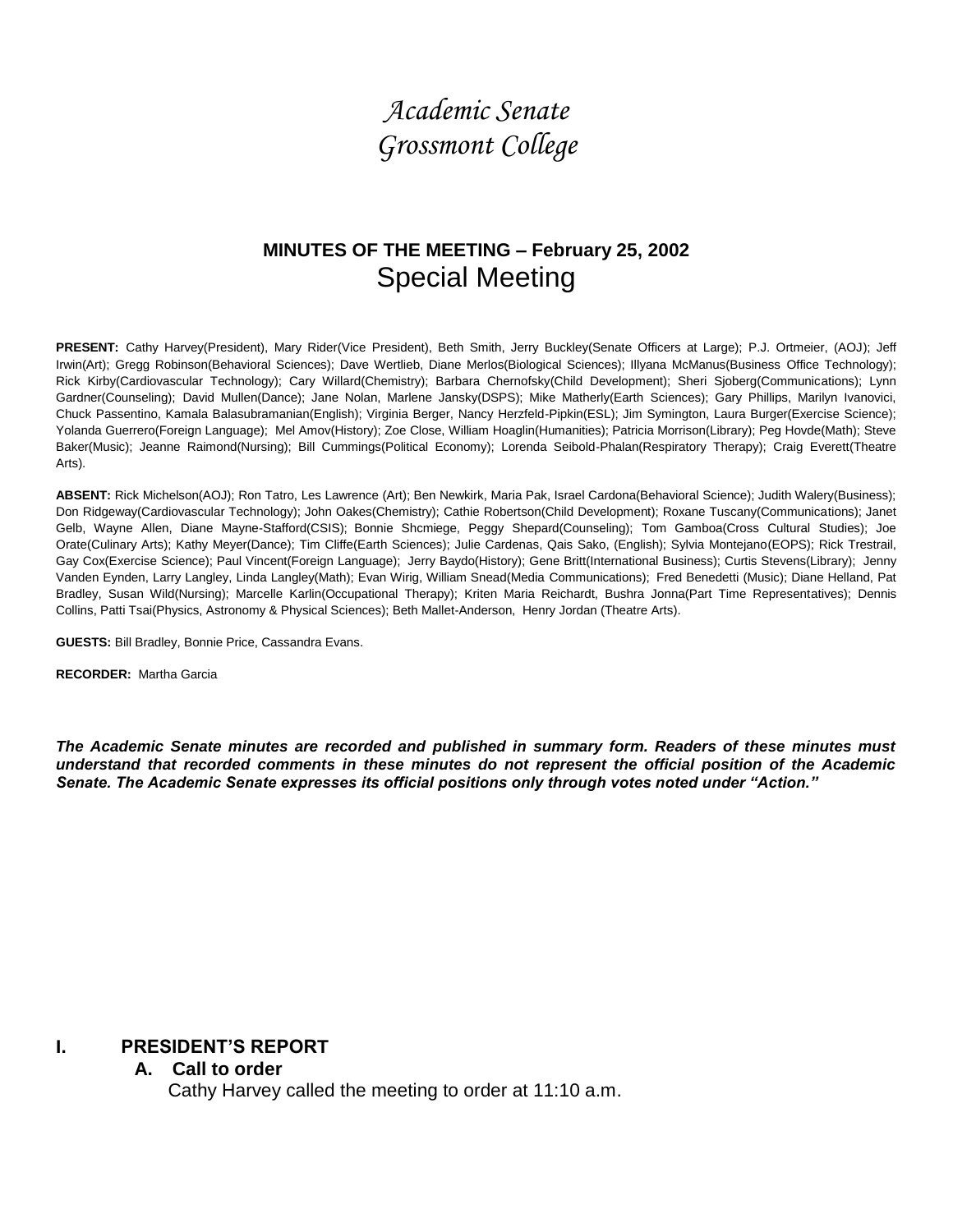# *Academic Senate Grossmont College*

## **MINUTES OF THE MEETING – February 25, 2002** Special Meeting

PRESENT: Cathy Harvey(President), Mary Rider(Vice President), Beth Smith, Jerry Buckley(Senate Officers at Large); P.J. Ortmeier, (AOJ); Jeff Irwin(Art); Gregg Robinson(Behavioral Sciences); Dave Wertlieb, Diane Merlos(Biological Sciences); Illyana McManus(Business Office Technology); Rick Kirby(Cardiovascular Technology); Cary Willard(Chemistry); Barbara Chernofsky(Child Development); Sheri Sjoberg(Communications); Lynn Gardner(Counseling); David Mullen(Dance); Jane Nolan, Marlene Jansky(DSPS); Mike Matherly(Earth Sciences); Gary Phillips, Marilyn Ivanovici, Chuck Passentino, Kamala Balasubramanian(English); Virginia Berger, Nancy Herzfeld-Pipkin(ESL); Jim Symington, Laura Burger(Exercise Science); Yolanda Guerrero(Foreign Language); Mel Amov(History); Zoe Close, William Hoaglin(Humanities); Patricia Morrison(Library); Peg Hovde(Math); Steve Baker(Music); Jeanne Raimond(Nursing); Bill Cummings(Political Economy); Lorenda Seibold-Phalan(Respiratory Therapy); Craig Everett(Theatre Arts).

**ABSENT:** Rick Michelson(AOJ); Ron Tatro, Les Lawrence (Art); Ben Newkirk, Maria Pak, Israel Cardona(Behavioral Science); Judith Walery(Business); Don Ridgeway(Cardiovascular Technology); John Oakes(Chemistry); Cathie Robertson(Child Development); Roxane Tuscany(Communications); Janet Gelb, Wayne Allen, Diane Mayne-Stafford(CSIS); Bonnie Shcmiege, Peggy Shepard(Counseling); Tom Gamboa(Cross Cultural Studies); Joe Orate(Culinary Arts); Kathy Meyer(Dance); Tim Cliffe(Earth Sciences); Julie Cardenas, Qais Sako, (English); Sylvia Montejano(EOPS); Rick Trestrail, Gay Cox(Exercise Science); Paul Vincent(Foreign Language); Jerry Baydo(History); Gene Britt(International Business); Curtis Stevens(Library); Jenny Vanden Eynden, Larry Langley, Linda Langley(Math); Evan Wirig, William Snead(Media Communications); Fred Benedetti (Music); Diane Helland, Pat Bradley, Susan Wild(Nursing); Marcelle Karlin(Occupational Therapy); Kriten Maria Reichardt, Bushra Jonna(Part Time Representatives); Dennis Collins, Patti Tsai(Physics, Astronomy & Physical Sciences); Beth Mallet-Anderson, Henry Jordan (Theatre Arts).

**GUESTS:** Bill Bradley, Bonnie Price, Cassandra Evans.

**RECORDER:** Martha Garcia

*The Academic Senate minutes are recorded and published in summary form. Readers of these minutes must understand that recorded comments in these minutes do not represent the official position of the Academic Senate. The Academic Senate expresses its official positions only through votes noted under "Action."*

#### **I. PRESIDENT'S REPORT**

#### **A. Call to order**

Cathy Harvey called the meeting to order at 11:10 a.m.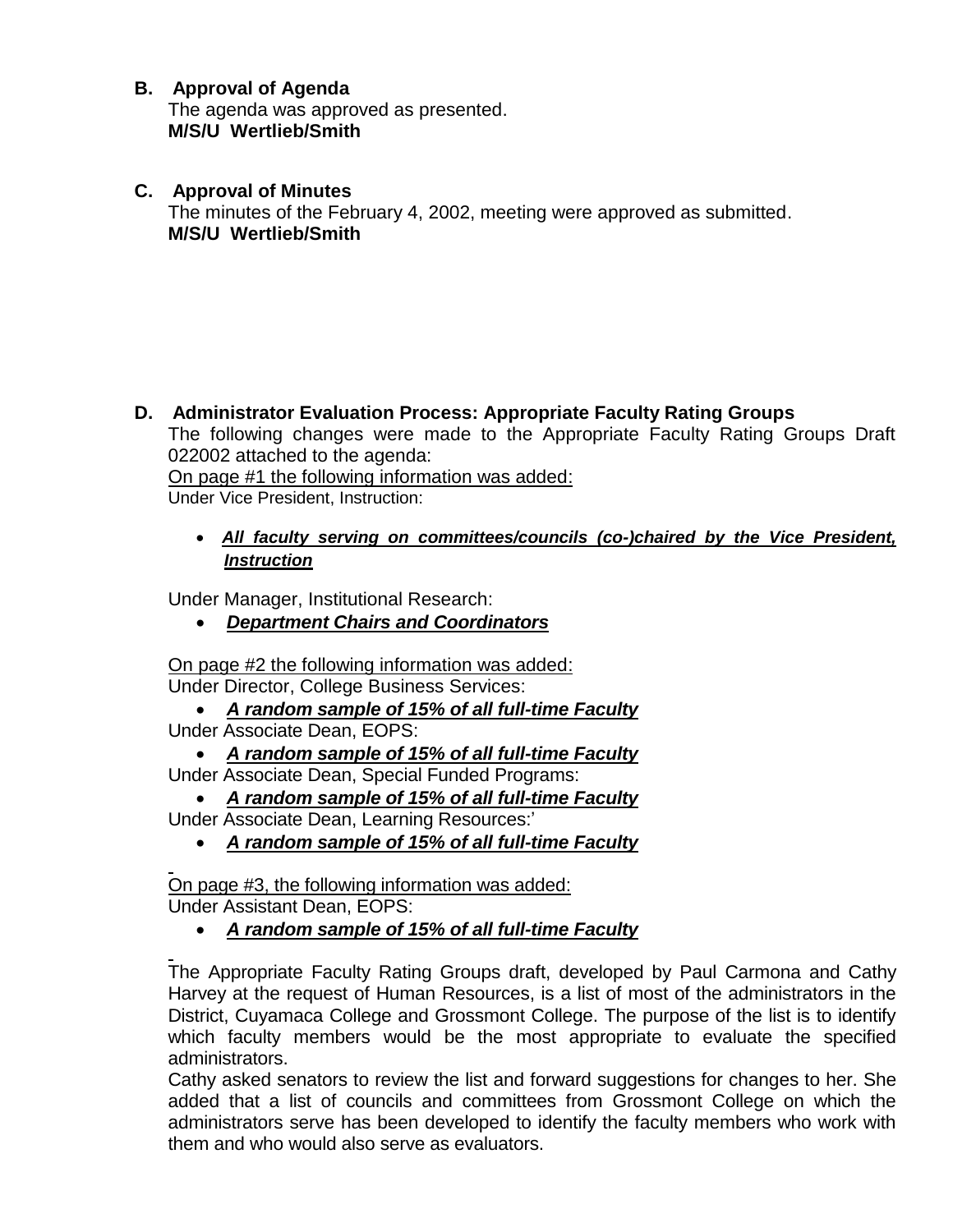### **B. Approval of Agenda**

The agenda was approved as presented. **M/S/U Wertlieb/Smith**

**C. Approval of Minutes**

The minutes of the February 4, 2002, meeting were approved as submitted. **M/S/U Wertlieb/Smith**

**D. Administrator Evaluation Process: Appropriate Faculty Rating Groups** The following changes were made to the Appropriate Faculty Rating Groups Draft 022002 attached to the agenda: On page #1 the following information was added:

Under Vice President, Instruction:

 *All faculty serving on committees/councils (co-)chaired by the Vice President, Instruction*

Under Manager, Institutional Research:

*Department Chairs and Coordinators*

On page #2 the following information was added: Under Director, College Business Services:

- *A random sample of 15% of all full-time Faculty* Under Associate Dean, EOPS:
	- *A random sample of 15% of all full-time Faculty*

Under Associate Dean, Special Funded Programs:

- *A random sample of 15% of all full-time Faculty*
- Under Associate Dean, Learning Resources:'
	- *A random sample of 15% of all full-time Faculty*

On page #3, the following information was added: Under Assistant Dean, EOPS:

*A random sample of 15% of all full-time Faculty*

The Appropriate Faculty Rating Groups draft, developed by Paul Carmona and Cathy Harvey at the request of Human Resources, is a list of most of the administrators in the District, Cuyamaca College and Grossmont College. The purpose of the list is to identify which faculty members would be the most appropriate to evaluate the specified administrators.

Cathy asked senators to review the list and forward suggestions for changes to her. She added that a list of councils and committees from Grossmont College on which the administrators serve has been developed to identify the faculty members who work with them and who would also serve as evaluators.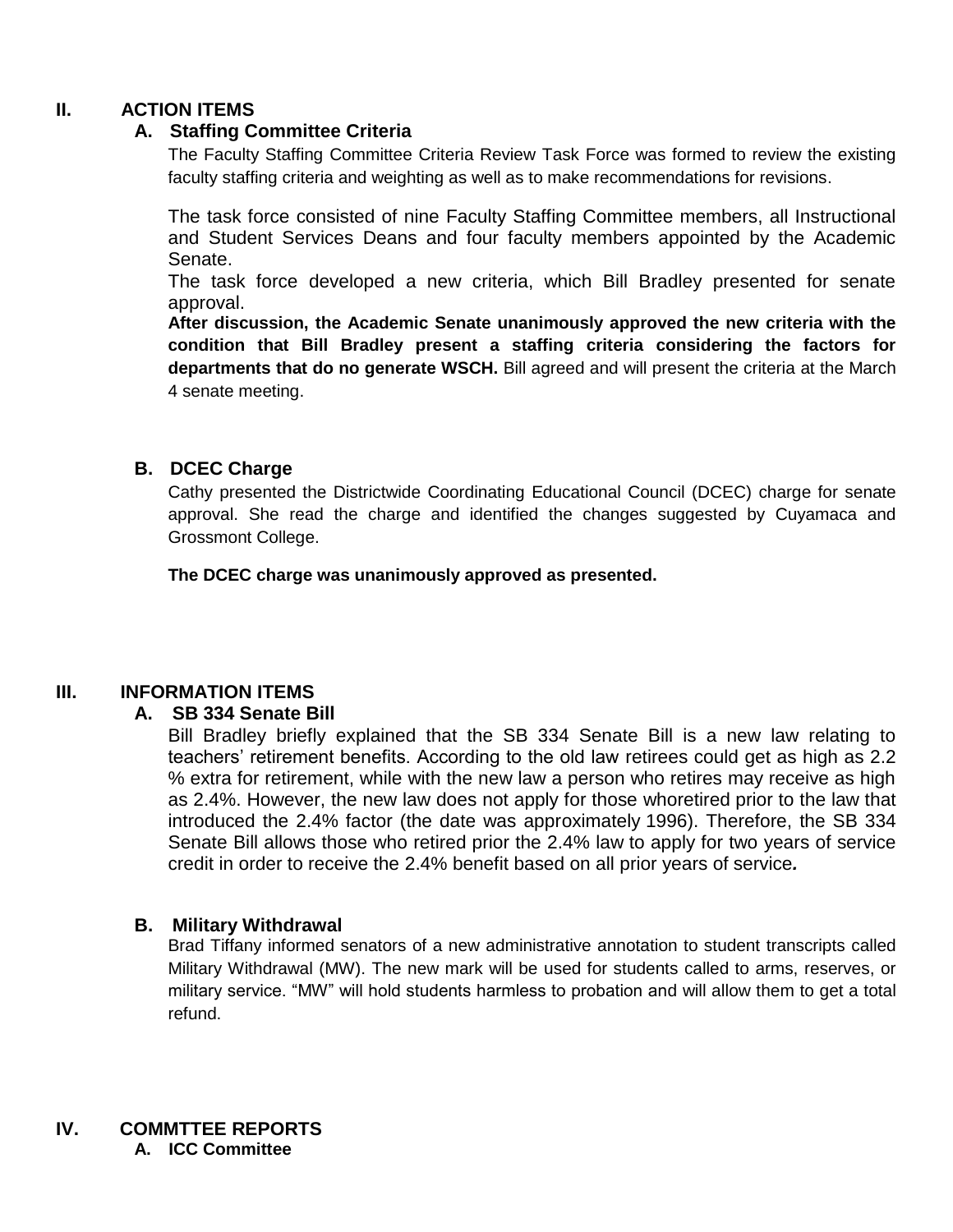#### **II. ACTION ITEMS**

#### **A. Staffing Committee Criteria**

The Faculty Staffing Committee Criteria Review Task Force was formed to review the existing faculty staffing criteria and weighting as well as to make recommendations for revisions.

The task force consisted of nine Faculty Staffing Committee members, all Instructional and Student Services Deans and four faculty members appointed by the Academic Senate.

The task force developed a new criteria, which Bill Bradley presented for senate approval.

**After discussion, the Academic Senate unanimously approved the new criteria with the condition that Bill Bradley present a staffing criteria considering the factors for departments that do no generate WSCH.** Bill agreed and will present the criteria at the March 4 senate meeting.

#### **B. DCEC Charge**

Cathy presented the Districtwide Coordinating Educational Council (DCEC) charge for senate approval. She read the charge and identified the changes suggested by Cuyamaca and Grossmont College.

**The DCEC charge was unanimously approved as presented.**

#### **III. INFORMATION ITEMS**

#### **A. SB 334 Senate Bill**

Bill Bradley briefly explained that the SB 334 Senate Bill is a new law relating to teachers' retirement benefits. According to the old law retirees could get as high as 2.2 % extra for retirement, while with the new law a person who retires may receive as high as 2.4%. However, the new law does not apply for those whoretired prior to the law that introduced the 2.4% factor (the date was approximately 1996). Therefore, the SB 334 Senate Bill allows those who retired prior the 2.4% law to apply for two years of service credit in order to receive the 2.4% benefit based on all prior years of service*.*

#### **B. Military Withdrawal**

Brad Tiffany informed senators of a new administrative annotation to student transcripts called Military Withdrawal (MW). The new mark will be used for students called to arms, reserves, or military service. "MW" will hold students harmless to probation and will allow them to get a total refund.

**IV. COMMTTEE REPORTS A. ICC Committee**